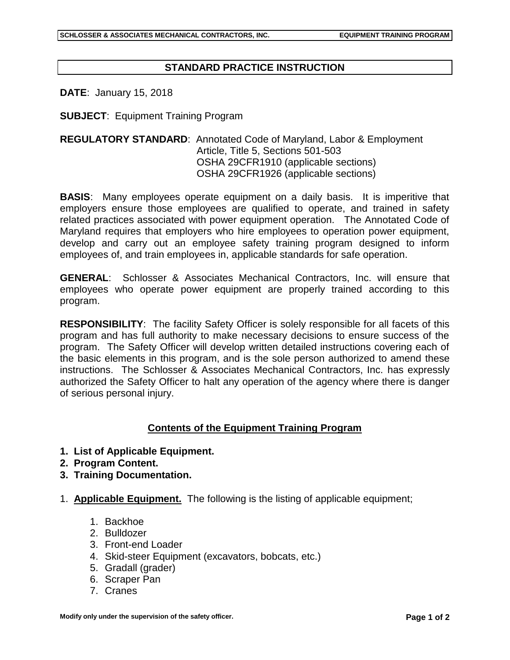## **STANDARD PRACTICE INSTRUCTION**

**DATE**: January 15, 2018

**SUBJECT**: Equipment Training Program

## **REGULATORY STANDARD**: Annotated Code of Maryland, Labor & Employment Article, Title 5, Sections 501-503 OSHA 29CFR1910 (applicable sections) OSHA 29CFR1926 (applicable sections)

**BASIS**: Many employees operate equipment on a daily basis. It is imperitive that employers ensure those employees are qualified to operate, and trained in safety related practices associated with power equipment operation. The Annotated Code of Maryland requires that employers who hire employees to operation power equipment, develop and carry out an employee safety training program designed to inform employees of, and train employees in, applicable standards for safe operation.

**GENERAL**: Schlosser & Associates Mechanical Contractors, Inc. will ensure that employees who operate power equipment are properly trained according to this program.

**RESPONSIBILITY**: The facility Safety Officer is solely responsible for all facets of this program and has full authority to make necessary decisions to ensure success of the program. The Safety Officer will develop written detailed instructions covering each of the basic elements in this program, and is the sole person authorized to amend these instructions. The Schlosser & Associates Mechanical Contractors, Inc. has expressly authorized the Safety Officer to halt any operation of the agency where there is danger of serious personal injury.

## **Contents of the Equipment Training Program**

- **1. List of Applicable Equipment.**
- **2. Program Content.**
- **3. Training Documentation.**
- 1. **Applicable Equipment.** The following is the listing of applicable equipment;
	- 1. Backhoe
	- 2. Bulldozer
	- 3. Front-end Loader
	- 4. Skid-steer Equipment (excavators, bobcats, etc.)
	- 5. Gradall (grader)
	- 6. Scraper Pan
	- 7. Cranes